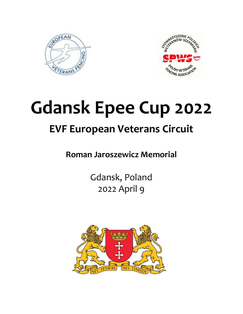



# **Gdansk Epee Cup 2022 EVF European Veterans Circuit**

## **Roman Jaroszewicz Memorial**

Gdansk, Poland 2022 April 9

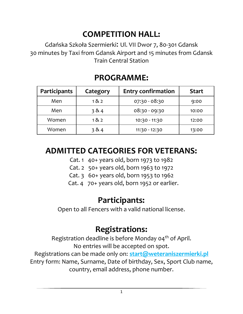# **COMPETITION HALL:**

Gdańska Szkoła Szermierki: Ul. VII Dwor 7, 80-301 Gdansk 30 minutes by Taxi from Gdansk Airport and 15 minutes from Gdansk Train Central Station

| <b>Participants</b> | Category | <b>Entry confirmation</b> | <b>Start</b> |
|---------------------|----------|---------------------------|--------------|
| Men                 | 182      | $07:30 - 08:30$           | 9:00         |
| Men                 | 384      | $08:30 - 09:30$           | 10:00        |
| Women               | 182      | 10:30 - 11:30             | 12:00        |
| Women               | 384      | 11:30 - 12:30             | 13:00        |

## **PROGRAMME:**

### **ADMITTED CATEGORIES FOR VETERANS:**

- Cat. 1 40+ years old, born 1973 to 1982
- Cat. 2 50+ years old, born 1963 to 1972
- Cat. 3 60+ years old, born 1953 to 1962
- Cat. 4 70+ years old, born 1952 or earlier.

### **Participants:**

Open to all Fencers with a valid national license.

## **Registrations:**

Registration deadline is before Monday  $04<sup>th</sup>$  of April. No entries will be accepted on spot.

Registrations can be made only on: **[start@weteraniszermierki.pl](mailto:start@weteraniszermierki.pl)** Entry form: Name, Surname, Date of birthday, Sex, Sport Club name, country, email address, phone number.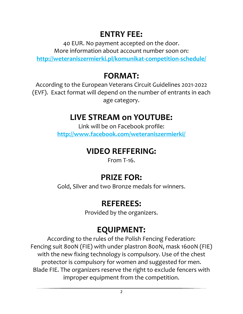## **ENTRY FEE:**

40 EUR. No payment accepted on the door. More information about account number soon on: **<http://weteraniszermierki.pl/komunikat-competition-schedule/>**

## **FORMAT:**

According to the European Veterans Circuit Guidelines 2021-2022 (EVF). Exact format will depend on the number of entrants in each age category.

#### **LIVE STREAM on YOUTUBE:**

Link will be on Facebook profile: **<http://www.facebook.com/weteraniszermierki/>**

#### **VIDEO REFFERING:**

From T-16.

## **PRIZE FOR:**

Gold, Silver and two Bronze medals for winners.

## **REFEREES:**

Provided by the organizers.

## **EQUIPMENT:**

According to the rules of the Polish Fencing Federation: Fencing suit 800N (FIE) with under plastron 800N, mask 1600N (FIE) with the new fixing technology is compulsory. Use of the chest protector is compulsory for women and suggested for men. Blade FIE. The organizers reserve the right to exclude fencers with improper equipment from the competition.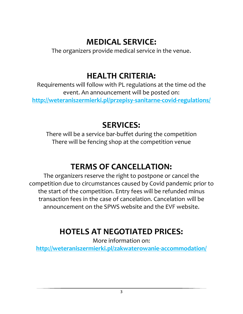# **MEDICAL SERVICE:**

The organizers provide medical service in the venue.

# **HEALTH CRITERIA:**

Requirements will follow with PL regulations at the time od the event. An announcement will be posted on: **<http://weteraniszermierki.pl/przepisy-sanitarne-covid-regulations/>**

# **SERVICES:**

There will be a service bar-buffet during the competition There will be fencing shop at the competition venue

# **TERMS OF CANCELLATION:**

The organizers reserve the right to postpone or cancel the competition due to circumstances caused by Covid pandemic prior to the start of the competition. Entry fees will be refunded minus transaction fees in the case of cancelation. Cancelation will be announcement on the SPWS website and the EVF website.

# **HOTELS AT NEGOTIATED PRICES:**

More information on:

**<http://weteraniszermierki.pl/zakwaterowanie-accommodation/>**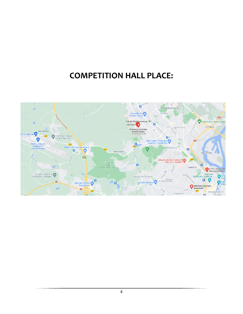### **COMPETITION HALL PLACE:**